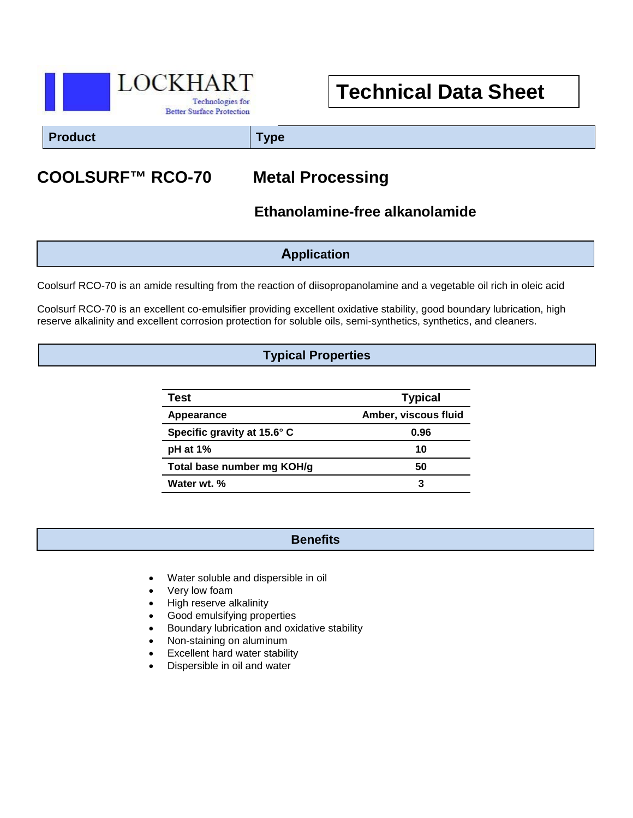

# **Technical Data Sheet**

**Product Type**

## **COOLSURF™ RCO-70 Metal Processing**

 **Ethanolamine-free alkanolamide**

**Application**

Coolsurf RCO-70 is an amide resulting from the reaction of diisopropanolamine and a vegetable oil rich in oleic acid

Coolsurf RCO-70 is an excellent co-emulsifier providing excellent oxidative stability, good boundary lubrication, high reserve alkalinity and excellent corrosion protection for soluble oils, semi-synthetics, synthetics, and cleaners.

### **Typical Properties**

| Test                        | <b>Typical</b>       |
|-----------------------------|----------------------|
| Appearance                  | Amber, viscous fluid |
| Specific gravity at 15.6° C | 0.96                 |
| $pH$ at 1%                  | 10                   |
| Total base number mg KOH/g  | 50                   |
| Water wt. %                 | 3                    |

#### **Benefits**

- Water soluble and dispersible in oil
- Very low foam
- High reserve alkalinity
- Good emulsifying properties
- Boundary lubrication and oxidative stability

l

- Non-staining on aluminum
- Excellent hard water stability
- Dispersible in oil and water